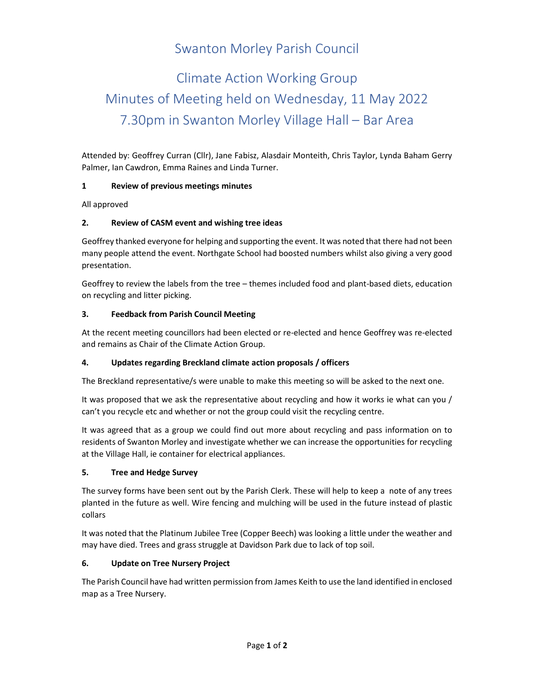# Swanton Morley Parish Council

# Climate Action Working Group Minutes of Meeting held on Wednesday, 11 May 2022 7.30pm in Swanton Morley Village Hall – Bar Area

Attended by: Geoffrey Curran (Cllr), Jane Fabisz, Alasdair Monteith, Chris Taylor, Lynda Baham Gerry Palmer, Ian Cawdron, Emma Raines and Linda Turner.

## 1 Review of previous meetings minutes

All approved

# 2. Review of CASM event and wishing tree ideas

Geoffrey thanked everyone for helping and supporting the event. It was noted that there had not been many people attend the event. Northgate School had boosted numbers whilst also giving a very good presentation.

Geoffrey to review the labels from the tree – themes included food and plant-based diets, education on recycling and litter picking.

## 3. Feedback from Parish Council Meeting

At the recent meeting councillors had been elected or re-elected and hence Geoffrey was re-elected and remains as Chair of the Climate Action Group.

# 4. Updates regarding Breckland climate action proposals / officers

The Breckland representative/s were unable to make this meeting so will be asked to the next one.

It was proposed that we ask the representative about recycling and how it works ie what can you / can't you recycle etc and whether or not the group could visit the recycling centre.

It was agreed that as a group we could find out more about recycling and pass information on to residents of Swanton Morley and investigate whether we can increase the opportunities for recycling at the Village Hall, ie container for electrical appliances.

#### 5. Tree and Hedge Survey

The survey forms have been sent out by the Parish Clerk. These will help to keep a note of any trees planted in the future as well. Wire fencing and mulching will be used in the future instead of plastic collars

It was noted that the Platinum Jubilee Tree (Copper Beech) was looking a little under the weather and may have died. Trees and grass struggle at Davidson Park due to lack of top soil.

# 6. Update on Tree Nursery Project

The Parish Council have had written permission from James Keith to use the land identified in enclosed map as a Tree Nursery.